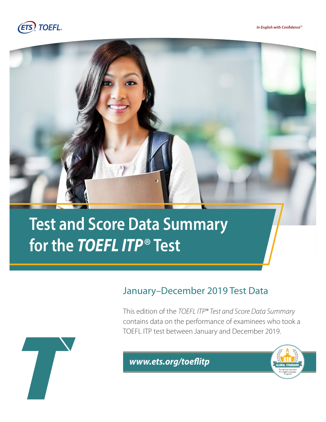





# **Test and Score Data Summary for the** *TOEFL ITP*® **Test**

### January–December 2019 Test Data

This edition of the *TOEFL ITP® Test and Score Data Summary*  contains data on the performance of examinees who took a TOEFL ITP test between January and December 2019.



 $www.ets.org/toeflitp$ 

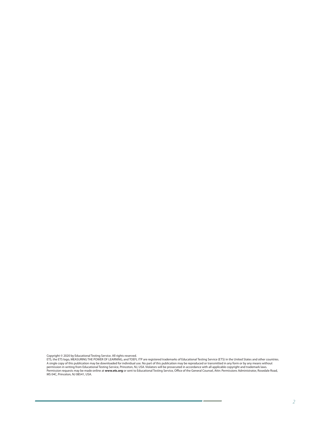Copyright © 2020 by Educational Testing Service. All rights reserved.<br>ETS, the ETS logo, MEASURING THE POWER OF LEARNING, and TOEFL ITP are registered trademarks of Educational Testing Service (ETS) in the United States a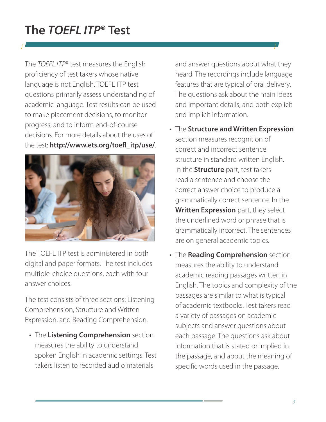## **The** *TOEFL ITP***® Test**

The *TOEFL ITP*® test measures the English proficiency of test takers whose native language is not English. TOEFL ITP test questions primarily assess understanding of academic language. Test results can be used to make placement decisions, to monitor progress, and to inform end-of-course decisions. For more details about the uses of the test: **[http://www.ets.org/toefl\\_itp/use/](http://www.ets.org/toefl_itp/use/)**.



The TOEFL ITP test is administered in both digital and paper formats. The test includes multiple-choice questions, each with four answer choices.

The test consists of three sections: Listening Comprehension, Structure and Written Expression, and Reading Comprehension.

• The **Listening Comprehension** section measures the ability to understand spoken English in academic settings. Test takers listen to recorded audio materials

and answer questions about what they heard. The recordings include language features that are typical of oral delivery. The questions ask about the main ideas and important details, and both explicit and implicit information.

- The **Structure and Written Expression** section measures recognition of correct and incorrect sentence structure in standard written English. In the **Structure** part, test takers read a sentence and choose the correct answer choice to produce a grammatically correct sentence. In the **Written Expression** part, they select the underlined word or phrase that is grammatically incorrect. The sentences are on general academic topics.
- The **Reading Comprehension** section measures the ability to understand academic reading passages written in English. The topics and complexity of the passages are similar to what is typical of academic textbooks. Test takers read a variety of passages on academic subjects and answer questions about each passage. The questions ask about information that is stated or implied in the passage, and about the meaning of specific words used in the passage.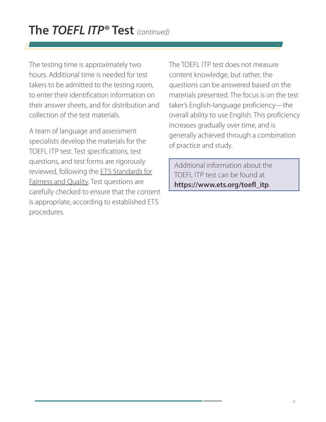The testing time is approximately two hours. Additional time is needed for test takers to be admitted to the testing room, to enter their identification information on their answer sheets, and for distribution and collection of the test materials.

A team of language and assessment specialists develop the materials for the TOEFL ITP test. Test specifications, test questions, and test forms are rigorously reviewed, following the ETS Standards for Fairness and Quality. Test questions are carefully checked to ensure that the content is appropriate, according to established ETS procedures.

The TOEFL ITP test does not measure content knowledge, but rather, the questions can be answered based on the materials presented. The focus is on the test taker's English-language proficiency—the overall ability to use English. This proficiency increases gradually over time, and is generally achieved through a combination of practice and study.

Additional information about the TOEFL ITP test can be found at **[https://www.ets.org/toefl\\_itp](https://www.ets.org/toefl_itp)**.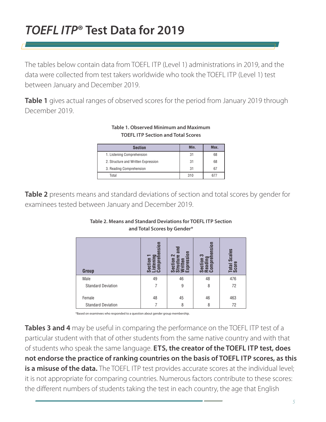### *TOEFL ITP***® Test Data for 2019**

The tables below contain data from TOEFL ITP (Level 1) administrations in 2019, and the data were collected from test takers worldwide who took the TOEFL ITP (Level 1) test between January and December 2019.

**Table 1** gives actual ranges of observed scores for the period from January 2019 through December 2019.

#### **Table 1. Observed Minimum and Maximum TOEFL ITP Section and Total Scores**

| <b>Section</b>                      | Min. | Max. |
|-------------------------------------|------|------|
| 1. Listening Comprehension          | 31   | 68   |
| 2. Structure and Written Expression | 31   | 68   |
| 3. Reading Comprehension            | 31   | 67   |
| Total                               | 310  | 677  |

**Table 2** presents means and standard deviations of section and total scores by gender for examinees tested between January and December 2019.

| <b>Group</b>              | nsion<br>Section<br>Lister<br>Comp | m<br>$\bar{5}$<br>$\sim$<br>æ<br>ဒ္တ<br>≤<br>m | nsion<br>C<br>និច្ចខ្លួ | Scales<br>Total<br>Scorr |
|---------------------------|------------------------------------|------------------------------------------------|-------------------------|--------------------------|
| Male                      | 49                                 | 46                                             | 48                      | 476                      |
| <b>Standard Deviation</b> | 7                                  | 9                                              | 8                       | 72                       |
| Female                    | 48                                 | 45                                             | 46                      | 463                      |
| <b>Standard Deviation</b> |                                    | 8                                              | 8                       | 72                       |

#### **Table 2. Means and Standard Deviations for TOEFL ITP Section and Total Scores by Gender\***

\*Based on examinees who responded to a question about gender group membership.

**Tables 3 and 4** may be useful in comparing the performance on the TOEFL ITP test of a particular student with that of other students from the same native country and with that of students who speak the same language. **ETS, the creator of the TOEFL ITP test, does not endorse the practice of ranking countries on the basis of TOEFL ITP scores, as this is a misuse of the data.** The TOEFL ITP test provides accurate scores at the individual level; it is not appropriate for comparing countries. Numerous factors contribute to these scores: the different numbers of students taking the test in each country, the age that English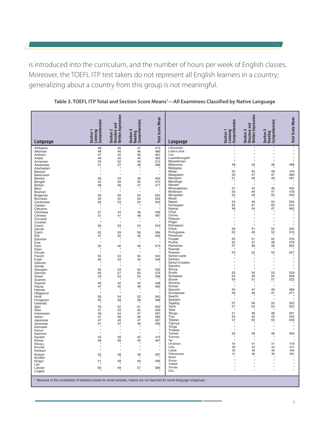is introduced into the curriculum, and the number of hours per week of English classes. Moreover, the TOEFL ITP test takers do not represent all English learners in a country; generalizing about a country from this group is not meaningful.

|                                                                                                                                     | Comprehension<br>Listening<br>Section | Section 2<br>Structure and<br>Written Expression | Section 3<br>Reading<br>Comprehension | <b>Total Scale Mean</b> |                             | Comprehension<br>Listening<br>Section 1 | Section 2<br>Structure and<br>Written Expression | Section 3<br>Reading<br>Comprehension | <b>Total Scale Mean</b> |
|-------------------------------------------------------------------------------------------------------------------------------------|---------------------------------------|--------------------------------------------------|---------------------------------------|-------------------------|-----------------------------|-----------------------------------------|--------------------------------------------------|---------------------------------------|-------------------------|
| Language                                                                                                                            |                                       |                                                  |                                       |                         | Language                    |                                         |                                                  |                                       |                         |
| Afrikaans<br>Albanian                                                                                                               | 48<br>48                              | 46<br>46                                         | 47<br>46                              | 473<br>466              | Lithuanian<br>Luba-Lulua    |                                         | $\star$                                          | $\star$                               | $^\star$                |
| Amharic                                                                                                                             | 47                                    | 45                                               | 46                                    | 461                     | Luo                         |                                         | $\star$                                          |                                       |                         |
| Arabic<br>Armenian                                                                                                                  | 49<br>53                              | 45<br>52                                         | 45<br>49                              | 465<br>512              | Luxembourgish<br>Macedonian |                                         |                                                  |                                       |                         |
| Assamese                                                                                                                            | 51                                    | 47                                               | 48                                    | 489                     | Madurese                    | 48                                      | 45                                               | 48                                    | 468                     |
| Azerbaijani<br>Basque                                                                                                               | $\star$                               | $\star$                                          | $\star$                               | $\star$                 | Malagasy<br>Malay           | 50                                      | 45                                               | 48                                    | 474                     |
| Belarusian                                                                                                                          | $\star$                               | ł                                                | $\star$                               | $\star$                 | Malayalam                   | 50                                      | 47                                               | 47                                    | 480                     |
| Bemba<br>Bengali                                                                                                                    | 46<br>54                              | 44<br>50                                         | 46<br>50                              | 454<br>515              | Mandarin<br>Mandingo        | 51                                      | 48                                               | 49                                    | 491                     |
| Berber                                                                                                                              | 48                                    | 46                                               | 47                                    | 471                     | Marathi                     |                                         | y                                                |                                       |                         |
| Bikol<br>Bosnian                                                                                                                    | $\star$                               | ×                                                | $\star$                               | $\star$                 | Minangkabau<br>Moldovan     | 47<br>50                                | 44<br>46                                         | 46<br>47                              | 455<br>476              |
| Bulgarian                                                                                                                           | 56                                    | 56                                               | 54                                    | 554                     | Mongolian                   | 52                                      | 49                                               | 50                                    | 505                     |
| <b>Burmese</b>                                                                                                                      | 50                                    | 50                                               | 50                                    | 502                     | Mossi                       | 53                                      | 49                                               | 50                                    | 505                     |
| Cantonese<br>Catalan                                                                                                                | 56                                    | 53                                               | 54                                    | 543                     | Nepali<br>Norwegian         | 62                                      | 61                                               | 60                                    | 612                     |
| Cebuano                                                                                                                             | $\star$                               | ż                                                | $\star$                               | $\star$                 | Nyanja                      | 48                                      | 45                                               | 47                                    | 465                     |
| Chichewa<br>Chinese                                                                                                                 | 47<br>51                              | 44<br>47                                         | 46<br>48                              | 456<br>487              | Oriya<br>Oromo              |                                         |                                                  |                                       |                         |
| Chuvash                                                                                                                             | $\star$                               | $\star$                                          | $\star$                               | $\star$                 | Palauan                     | $\star$<br>$\star$                      | $\star$<br>$^\star$                              | $\star$<br>$\star$                    |                         |
| Croatian<br>Czech                                                                                                                   | 56                                    | 53                                               | 54                                    | 543                     | Pidgin<br>Pohnpeian         | $\star$                                 | $\star$                                          |                                       |                         |
| Danish                                                                                                                              |                                       |                                                  |                                       |                         | Polish                      | 56                                      | 51                                               | 52                                    | 530                     |
| Dutch<br>Efik                                                                                                                       | 62<br>47                              | 59                                               | 58                                    | 594<br>456              | Portuguese<br>Provencal     | 52                                      | 49                                               | 52                                    | 510                     |
| Estonian                                                                                                                            | $\star$                               | 45<br>ż                                          | 45<br>$\star$                         |                         | Punjabi                     | 52                                      | 51                                               | 52                                    | 516                     |
| Ewe                                                                                                                                 | $\star$                               |                                                  | ×                                     | $\star$                 | Pushto                      | 50                                      | 47                                               | 46                                    | 479                     |
| Farsi<br>Fijian                                                                                                                     | 50                                    | 46                                               | 46                                    | 473                     | Romanian<br>Ruanda          | 57                                      | 56                                               | 56                                    | 562                     |
| Finnish                                                                                                                             | $\star$                               | $\star$                                          | $\star$                               | $\star$                 | Russian                     | 53                                      | 52                                               | 53                                    | 527                     |
| French<br>Fulah                                                                                                                     | 55<br>$\sqrt{46}$                     | 53<br>43                                         | 55<br>45                              | 543<br>446              | Samar-Leyte<br>Serbian      | $\star$                                 | $\star$                                          |                                       |                         |
| Galician                                                                                                                            | $\star$<br>$\star$                    | ź                                                | $\star$                               | $\star$                 | Serbo-Croatian              |                                         | $\star$                                          |                                       |                         |
| Ganda<br>Georgian                                                                                                                   | 55                                    | 53                                               | 52                                    | 532                     | Sesotho<br>Shona            | ×                                       | $\star$                                          | $\star$                               | $\star$                 |
| German                                                                                                                              | 60                                    | 57                                               | 55                                    | 574                     | Sindhi                      | 52                                      | 54                                               | 53                                    | 529                     |
| Greek<br>Guarani                                                                                                                    | 53                                    | 54                                               | 54                                    | 536                     | Sinhalese<br>Slovak         | 52<br>54                                | 49<br>51                                         | 52<br>51                              | 508<br>522              |
| Gujarati                                                                                                                            | 49                                    | 42                                               | 44                                    | 448                     | Slovene                     |                                         |                                                  |                                       |                         |
| Hausa                                                                                                                               | 47<br>$\star$                         | 45<br>ź                                          | 46<br>$\star$                         | 462                     | Somali<br>Spanish           | 50                                      | $\star$<br>47                                    | 49                                    | 485                     |
| Hebrew<br>Hiligaynon                                                                                                                | $\star$                               |                                                  | $\star$                               | $\star$                 | Sundanese                   | 49                                      | 46                                               | 47                                    | 471                     |
| Hindi                                                                                                                               | 56                                    | 54                                               | 52                                    | 540                     | Swahili                     | $\star$                                 | $\star$                                          | $\star$                               | $\star$                 |
| Hungarian<br>Icelandic                                                                                                              | 60                                    | 58                                               | 58                                    | 588                     | Swedish<br>Tagalog          | 57                                      | 56                                               | 52                                    | 552                     |
| Igbo                                                                                                                                | 53                                    | 52                                               | 51                                    | 522                     | Tamil                       | 57                                      | 54                                               | 54                                    | 550                     |
| lloko<br>Indonesian                                                                                                                 | 47<br>49                              | 43<br>44                                         | 45<br>47                              | 449<br>467              | Tatar<br>Telugu             | 51                                      | 48                                               | 48                                    | 491                     |
| Italian                                                                                                                             | 57                                    | 56                                               | 56                                    | 565                     | Thai                        | 45                                      | 42                                               | 43                                    | 433                     |
| Japanese<br>Javanese                                                                                                                | 47<br>51                              | 46<br>47                                         | 47<br>49                              | 467<br>492              | Tibetan<br>Tigrinya         | 57                                      | 55                                               | 55                                    | 558                     |
| Kannada                                                                                                                             |                                       |                                                  |                                       |                         | Tonga                       | $\star$                                 | $\star$                                          | $\star$                               |                         |
| Kanuri<br>Kashmiri                                                                                                                  | $\star$<br>$\star$                    | $\star$<br>$\star$                               | $\star$<br>$\star$                    | $^\star$<br>$^\star$    | Trukese<br>Turkish          | $\star$<br>52                           | $\star$<br>48                                    | 48                                    | 494                     |
| Kazakh                                                                                                                              | 43                                    | 39                                               | 42                                    | 415                     | Turkmen                     |                                         |                                                  |                                       |                         |
| Khmer                                                                                                                               | 48                                    | 46                                               | 45                                    | 461                     | Twi                         |                                         | $^\star$                                         |                                       |                         |
| Kikuyu<br>Kirundi                                                                                                                   | $\ddot{}$                             | ٠                                                | $\ddot{}$                             | $\ddot{}$               | Ukrainian<br>Urdu           | 54<br>56                                | 51<br>55                                         | 51<br>54                              | 518<br>547              |
| Konkani                                                                                                                             | $\star$                               | $\star$                                          | $\star$                               | $\ddot{}$               | Uzbek                       | 52                                      | 48                                               | 48                                    | 493                     |
| Korean<br>Kurdish                                                                                                                   | 52                                    | 48                                               | 49                                    | 497                     | Vietnamese<br>Wolof         | 41                                      | 36                                               | 38                                    | 381                     |
| Kyrgyz                                                                                                                              | 51                                    | 48                                               | 49                                    | 495                     | Xhosa                       | $\star$                                 | $\star$<br>$\bullet$                             |                                       |                         |
| Lao                                                                                                                                 | 60                                    | 59                                               | 57                                    | 584                     | Yiddish<br>Yoruba           | $\star$                                 |                                                  |                                       |                         |
| Latvian<br>Lingala                                                                                                                  |                                       |                                                  |                                       |                         | Zulu                        |                                         |                                                  |                                       |                         |
| <sup>1</sup> Because of the unreliability of statistics based on small samples, means are not reported for some language subgroups. |                                       |                                                  |                                       |                         |                             |                                         |                                                  |                                       |                         |

#### **Table 3. TOEFL ITP Total and Section Score Means1 —All Examinees Classified by Native Language**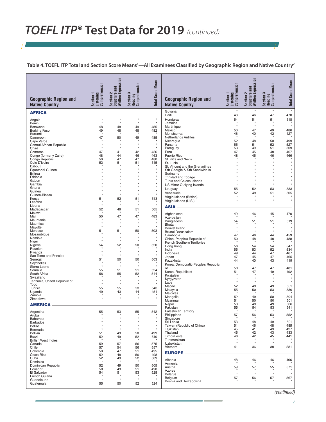**Table 4. TOEFL ITP Total and Section Score Means1 —All Examinees Classified by Geographic Region and Native Country2**

| <b>Geographic Region and</b><br><b>Native Country</b> | Comprehension<br>Section 1<br>Listening | Section 2<br>Structure and<br>Written Expression | Section 3<br>Reading<br>Comprehension | <b>Total Scale Mean</b> | <b>Geographic Region and</b><br><b>Native Country</b>           | Comprehension<br>Listening<br>Section 1 | Section 2<br>Structure and<br>Written Expression | Section 3<br>Reading<br>Comprehension | <b>Total Scale Mean</b> |
|-------------------------------------------------------|-----------------------------------------|--------------------------------------------------|---------------------------------------|-------------------------|-----------------------------------------------------------------|-----------------------------------------|--------------------------------------------------|---------------------------------------|-------------------------|
| <b>AFRICA.</b>                                        |                                         |                                                  |                                       |                         | Guyana                                                          | $\star$                                 | $\star$                                          | $\star$                               | $\star$                 |
| Angola                                                | $\star$                                 | ×                                                | $\star$                               | $\star$                 | Haiti<br>Honduras                                               | 48<br>54                                | 46<br>51                                         | 47<br>51                              | 470<br>518              |
| Benin                                                 | $\star$                                 | $\star$                                          | $\star$                               | $\star$                 | Jamaica                                                         | $\star$                                 | $\star$                                          | $\star$                               | $\star$                 |
| Botswana<br><b>Burkina Faso</b>                       | 48<br>49                                | 48<br>48                                         | 49<br>48                              | 485<br>482              | Martinique<br>Mexico                                            | 50                                      | 47                                               | 49                                    | 486                     |
| Burundi                                               |                                         |                                                  |                                       |                         | Monstserrat<br><b>Netherlands Antilles</b>                      | 46<br>$\lambda$                         | 40<br>$\pmb{\ast}$                               | 42<br>$\,$                            | 427                     |
| Cameroon<br>Cape Verde                                | 47                                      | 50                                               | 49                                    | 485                     | Nicaragua                                                       | 52                                      | 48                                               | 50                                    | 499                     |
| Central African Republic                              | $\star$                                 | ×<br>×                                           | $\star$<br>$\star$                    | $\star$<br>$\star$      | Panama<br>Paraguay                                              | 55<br>53                                | 51<br>49                                         | 52<br>51                              | 527<br>509              |
| Chad<br>Comoros                                       | 47                                      | 41                                               | 42                                    | 436                     | Peru                                                            | 47                                      | 45                                               | 48                                    | 467                     |
| Congo (formerly Zaire)<br>Congo Republic              | 48<br>50                                | 44<br>47                                         | 46<br>47                              | 463<br>480              | Puerto Rico<br>St. Kitts and Nevis                              | 48                                      | 45                                               | 46                                    | 466                     |
| Cote D'Ivoire                                         | 52                                      | 51                                               | 51                                    | 515                     | St. Lucia                                                       |                                         |                                                  |                                       |                         |
| Djibouti<br><b>Equatorial Guinea</b>                  |                                         | ×                                                | $\star$                               | $\star$                 | St. Vincent and the Grenadines<br>Sth Georgia & Sth Sandwich Is |                                         | $\star$                                          |                                       | $\star$                 |
| Eritrea                                               |                                         |                                                  |                                       | $\star$<br>$\star$      | Suriname                                                        |                                         |                                                  |                                       |                         |
| Ethiopia<br>Gabon                                     |                                         | $\star$                                          | $\star$                               | $\star$                 | Trinidad and Tobago<br>Turks and Caicos Islands                 |                                         |                                                  |                                       |                         |
| Gambia                                                |                                         |                                                  |                                       | $\star$<br>$\star$      | <b>US Minor Outlying Islands</b>                                |                                         |                                                  |                                       |                         |
| Ghana<br>Guinea                                       |                                         | $\star$                                          | $\star$                               | $\star$                 | Uruguay                                                         | 55                                      | 52                                               | 53                                    | 533                     |
| Guinea-Bissau                                         |                                         | $\star$                                          |                                       | $\star$                 | Venezuela<br>Virgin Islands (British)                           | 52<br>-8                                | 49                                               | 51                                    | 505                     |
| Kenya<br>Lesotho                                      | 51                                      | 52                                               | 51                                    | 513                     | Virgin Islands (U.S.)                                           | ٠                                       |                                                  |                                       | $\star$                 |
| Liberia                                               | $\star$                                 | $\star$                                          | $\star$                               | $\star$                 | ASIA <sub>-</sub>                                               |                                         |                                                  |                                       |                         |
| Madagascar<br>Malawi                                  | 52                                      | 49                                               | 51                                    | 505                     | Afghanistan                                                     | 49                                      | 46                                               |                                       | 470                     |
| Mali                                                  | 50                                      | 47<br>×                                          | 47<br>$\star$                         | 483                     | Azerbaijan                                                      |                                         |                                                  | 45                                    |                         |
| Mauritania<br><b>Mauritius</b>                        | $\star$                                 | ×                                                | $\star$                               | $\star$                 | Bangladesh<br>Bhutan                                            | 54                                      | 51                                               | 51                                    | 519                     |
| Mayotte                                               | $\star$                                 | $\star$                                          | $\star$                               | $\star$                 | Bouvet Island                                                   |                                         | $\star$                                          |                                       | $\star$                 |
| Morocco<br>Mozambique                                 | 51                                      | 51                                               | 50                                    | 503                     | Brunei Darussalam<br>Cambodia                                   | $\pmb{\ast}$<br>47                      | $\star$<br>46                                    | 44                                    | $\star$<br>459          |
| Namibia                                               |                                         | ×<br>×                                           | $\star$<br>$\star$                    | $\star$                 | China, People's Republic of                                     | 50                                      | 48                                               | 48                                    | 488                     |
| Niger<br>Nigeria                                      | 54                                      | 52                                               | 50                                    | 520                     | French Southern Territories<br>Hong Kong                        | -8<br>56                                | $\star$<br>54                                    | -8<br>54                              | 547                     |
| Reunion                                               |                                         | ×<br>Å                                           | $\star$<br>$\star$                    | $\star$                 | India                                                           | 55                                      | 53                                               | 52                                    | 534                     |
| Rwanda<br>Sao Tome and Principe                       |                                         | $\star$                                          | $\star$                               | $\star$                 | Indonesia<br>Japan                                              | 49<br>47                                | 44<br>45                                         | 47<br>47                              | 467<br>465              |
| Senegal                                               | 51                                      | 50                                               | 50                                    | 503                     | Kazakhstan                                                      | 44                                      | 40                                               | 43                                    | 419                     |
| Seychelles<br>Sierra Leone                            |                                         | ×                                                |                                       | $\star$                 | Korea, Democratic People's Republic<br>of                       | 50                                      | 47                                               | 47                                    | 481                     |
| Somalia<br>South Africa                               | 55                                      | 51                                               | 51                                    | 524<br>544              | Korea, Republic of                                              | 51                                      | 47                                               | 49                                    | 492                     |
| Swaziland                                             | 56                                      | 55                                               | 52<br>×                               |                         | Kwajalein<br>Kyrgyzstan                                         |                                         |                                                  |                                       |                         |
| Tanzania, United Republic of                          |                                         | $\pmb{\ast}$<br>$\star$                          | $\star$<br>$\star$                    | $\star$<br>$\star$      | Laos                                                            |                                         | $\star$                                          | $\star$                               |                         |
| Togo<br>Tunisia                                       | 55                                      | 55                                               | 53                                    | 543                     | Macao<br>Malaysia                                               | 52<br>55                                | 49<br>50                                         | 49<br>53                              | 501<br>530              |
| Uganda<br>Zambia                                      | 49                                      | 43<br>$\star$                                    | 44                                    | 451                     | <b>Maldives</b>                                                 | ×                                       |                                                  |                                       |                         |
| Zimbabwe                                              |                                         | $\star$                                          | $\star$                               | $\star$                 | Mongolia<br>Myanmar                                             | 52<br>51                                | 49<br>50                                         | 50<br>50                              | 504<br>501              |
| AMERICA                                               |                                         |                                                  |                                       |                         | Nepal                                                           | 53                                      | 49                                               | 49                                    | 506                     |
| Argentina                                             | 55                                      | 53                                               | 55                                    | 542                     | Pakistan<br><b>Palestinian Territory</b>                        | 55                                      | 54                                               | 53                                    | 541                     |
| Aruba                                                 |                                         |                                                  |                                       |                         | Philippines                                                     | 57<br>$\pmb{\ast}$                      | 56<br>$\pmb{\ast}$                               | 53<br>$\star$                         | 552                     |
| Bahamas<br><b>Barbados</b>                            |                                         | ×                                                | $\star$                               | $\star$<br>$\star$      | Singapore<br>Sri Ľanka                                          | 53                                      | 48                                               | 49                                    | 501                     |
| <b>Belize</b>                                         | ×                                       | ×                                                | $\star$<br>$\star$                    | $\star$                 | Taiwan (Republic of China)                                      | 51                                      | 46                                               | 48                                    | 485                     |
| Bermuda<br><b>Bolivia</b>                             | 51                                      | $\star$<br>49                                    | 50                                    | $\star$<br>499          | Tajikistan<br>Thailand                                          | 45<br>45                                | 41<br>42                                         | 43<br>43                              | 427<br>433              |
| <b>Brazil</b>                                         | 52                                      | 49                                               | 52                                    | 510                     | Timor-Leste                                                     | 46<br>×                                 | 42                                               | 45                                    | 441                     |
| <b>British West Indies</b><br>Canada                  | 59                                      | 57                                               | 56                                    | 575                     | Turkmenistan<br>Uzbekistan                                      | $\star$                                 | $\star$                                          | $\star$                               | $\star$                 |
| Chile                                                 | 57                                      | 54                                               | 56                                    | 557                     | Vietnam                                                         | 41                                      | 36                                               | 38                                    | 381                     |
| Colombia<br>Costa Rica                                | 50<br>52                                | 47<br>48                                         | 51<br>50                              | 495<br>498              | <b>EUROPE</b>                                                   |                                         |                                                  |                                       |                         |
| Cuba                                                  | 52<br>$\star$                           | 49                                               | 52                                    | 509                     | Albania                                                         | 48                                      | 46                                               | 46                                    | 466                     |
| Dominica<br>Dominican Republic                        | 52                                      | 49                                               | 50                                    | 505                     | Armenia                                                         |                                         |                                                  |                                       |                         |
| Ecuador                                               | 50                                      | 49                                               | 51                                    | 498                     | Austria<br>Azores                                               | 59                                      | 57                                               | 55                                    | 571                     |
| El Salvador<br>French Guiana                          | 54                                      | 51                                               | 53                                    | 528                     | <b>Belarus</b>                                                  | $\star$                                 | $\star$                                          | $\star$                               | $\star$                 |
| Guadeloupe                                            | ۸                                       |                                                  | $\star$                               | $\star$                 | Belgium<br>Bosnia and Herzegovina                               | 57                                      | 56                                               | 57                                    | 567                     |
| Guatemala                                             | 55                                      | 50                                               | 52                                    | 524                     |                                                                 |                                         |                                                  |                                       |                         |

*(continued)*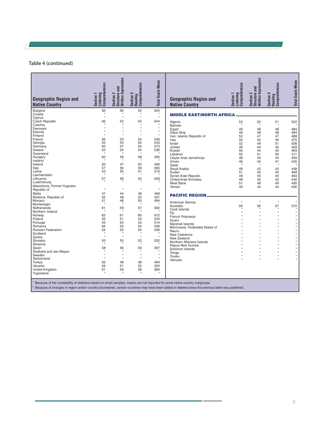#### **Table 4 (continued)**

| Section 2<br>Structure and<br>Written Expression<br><b>Total Scale Mean</b><br>Listening<br>Comprehension<br>Reading<br>Comprehension<br>Section 3<br>Section 1<br><b>Geographic Region and</b><br><b>Native Country</b><br><b>Native Country</b> | Listening<br>Comprehension<br>Section<br><b>Geographic Region and</b> | Expression<br>Section 2<br>Structure and<br>Written Expres | Section 3<br>Reading<br>Comprehension | <b>Total Scale Mean</b> |
|---------------------------------------------------------------------------------------------------------------------------------------------------------------------------------------------------------------------------------------------------|-----------------------------------------------------------------------|------------------------------------------------------------|---------------------------------------|-------------------------|
| <b>Bulgaria</b><br>56<br>56<br>54<br>554<br>Croatia<br>×                                                                                                                                                                                          | <b>MIDDLE EAST/NORTH AFRICA</b>                                       |                                                            |                                       |                         |
| $\star$<br>$\star$<br>$\star$<br>Cyprus                                                                                                                                                                                                           |                                                                       |                                                            |                                       |                         |
| 56<br>53<br>Czech Republic<br>54<br>544<br>Algeria                                                                                                                                                                                                | 53                                                                    | 52                                                         | 51                                    | 522                     |
| $\star$<br>×<br>Czechia<br>Bahrain                                                                                                                                                                                                                |                                                                       |                                                            |                                       |                         |
| $\star$<br>$\star$<br>$\star$<br>Denmark<br>Egypt                                                                                                                                                                                                 | 49                                                                    | 48                                                         | 48                                    | 484                     |
| $\star$<br>$\star$<br>۸<br>Estonia<br>Gaza Strip                                                                                                                                                                                                  | 49                                                                    | 48                                                         | 48                                    | 484                     |
| $\star$<br>×<br>Finland<br>Iran, Islamic Republic of                                                                                                                                                                                              | 52                                                                    | 47                                                         | 47                                    | 488                     |
| 53<br>56<br>55<br>546<br>France<br>Irag                                                                                                                                                                                                           | 50                                                                    | 45                                                         | 46                                    | 470                     |
| 53<br>533<br>55<br>52<br>Georgia<br>Israel                                                                                                                                                                                                        | 52                                                                    | 49                                                         | 51                                    | 508                     |
| 57<br>55<br>573<br>Germany<br>60<br>Jordan                                                                                                                                                                                                        | 49                                                                    | 44                                                         | 45                                    | 459                     |
| 53<br>54<br>54<br>536<br>Greece<br>Kuwait<br>$\star$<br>$\star$<br>-8<br>Greenland                                                                                                                                                                | 50                                                                    | 44                                                         | 45                                    | 463                     |
| Lebanon<br>60<br>59<br>58<br>Hungary<br>590                                                                                                                                                                                                       | 52                                                                    | 51                                                         | 50                                    | 511                     |
| Libyan Arab Jamahiriya<br>-8<br>Iceland                                                                                                                                                                                                           | 48                                                                    | 45                                                         | 44                                    | 459                     |
| Oman<br>47<br>50<br>490<br>Ireland<br>50<br>Oatar                                                                                                                                                                                                 | 46                                                                    | 40<br>$\star$                                              | 41<br>-8                              | 425<br>$\star$          |
| 57<br>56<br>Italy<br>56<br>565<br>Saudi Arabia                                                                                                                                                                                                    | 49                                                                    | 43                                                         | 43                                    | 448                     |
| 53<br>50<br>515<br>Latvia<br>51<br>Sudan                                                                                                                                                                                                          | 51                                                                    | 45                                                         | 45                                    | 469                     |
| Liechtenstein<br>Syrian Arab Repubic                                                                                                                                                                                                              | 49                                                                    | 45                                                         | 45                                    | 464                     |
| 57<br>Lithuania<br>56<br>54<br>559<br><b>United Arab Emirates</b>                                                                                                                                                                                 | 48                                                                    | 42                                                         | 42                                    | 442                     |
| $\ddot{\phantom{1}}$<br>Luxembourg<br><b>West Bank</b>                                                                                                                                                                                            | 51                                                                    | 48                                                         | 49                                    | 495                     |
| Macedonia, Former Yugoslav<br>Yemen                                                                                                                                                                                                               | 49                                                                    | 44                                                         | 44                                    | 456                     |
| $\star$<br>$\star$<br>$\star$<br>$\star$<br>Republic of                                                                                                                                                                                           |                                                                       |                                                            |                                       |                         |
| Malta<br>47<br>44<br>46<br>456<br><b>PACIFIC REGION</b>                                                                                                                                                                                           |                                                                       |                                                            |                                       |                         |
| Moldova, Republic of<br>52<br>48<br>50<br>501                                                                                                                                                                                                     |                                                                       |                                                            |                                       |                         |
| 48<br>Monaco<br>51<br>50<br>494<br>American Samoa                                                                                                                                                                                                 |                                                                       | $\star$                                                    | $\star$                               | $\star$                 |
| $\mathbf{r}$<br>×<br>Montenegro<br>Australia                                                                                                                                                                                                      | 59                                                                    | 56                                                         | 57                                    | 572                     |
| Netherlands<br>61<br>59<br>57<br>592<br>Cook Islands<br>×                                                                                                                                                                                         |                                                                       | ۸                                                          |                                       |                         |
| Northern Ireland<br>Fiji                                                                                                                                                                                                                          |                                                                       |                                                            | Ŵ                                     | $\star$                 |
| 62<br>61<br>60<br>612<br>Norway<br>French Polynesia                                                                                                                                                                                               |                                                                       |                                                            | ×                                     | $\star$                 |
| 56<br>51<br>53<br>533<br>Poland<br>Guam<br>53<br>50<br>52<br>514                                                                                                                                                                                  |                                                                       | ٠                                                          | $\boldsymbol{\star}$                  | $\star$                 |
| Portugal<br>Marshall Islands<br>56<br>55<br>55<br>556<br>Romania                                                                                                                                                                                  |                                                                       |                                                            | ŵ                                     | $\star$                 |
| <b>Russian Federation</b><br>54<br>53<br>536<br>54                                                                                                                                                                                                | Micronesia, Federated States of                                       |                                                            |                                       | $\star$<br>$\star$      |
| Nauru<br>$\star$<br>$\star$<br>$\star$<br>Scotland                                                                                                                                                                                                |                                                                       |                                                            | ٠<br>۸                                | $\star$                 |
| New Caledonia<br>$\star$<br>$\pmb{\ast}$<br>Serbia                                                                                                                                                                                                |                                                                       |                                                            | ٠                                     | $\star$                 |
| New Zealand<br>55<br>53<br>Slovakia<br>52<br>532                                                                                                                                                                                                  |                                                                       |                                                            |                                       | $\star$                 |
| $\star$<br>Slovenia<br>Papua New Guinea                                                                                                                                                                                                           | Northern Mariana Islands                                              |                                                            | ×                                     | $\star$                 |
| 58<br>56<br>567<br>Spain<br>56<br>Solomon Islands                                                                                                                                                                                                 |                                                                       |                                                            | ä,                                    | $\star$                 |
| $\star$<br>Svalbard and Jan Mayen<br>×<br>Tonga                                                                                                                                                                                                   |                                                                       |                                                            | ٠                                     | $\star$                 |
| $\star$<br>$\star$<br>$\star$<br>Sweden<br>Tuvalu                                                                                                                                                                                                 |                                                                       | ×                                                          | ×                                     | $\star$                 |
| $\star$<br>$\star$<br>$\star$<br>Switzerland<br>Vanuatu                                                                                                                                                                                           |                                                                       |                                                            |                                       | $\star$                 |
| 52<br>48<br>48<br>494<br>Turkey                                                                                                                                                                                                                   |                                                                       |                                                            |                                       |                         |
| 55<br>51<br>52<br>525<br>Ukraine                                                                                                                                                                                                                  |                                                                       |                                                            |                                       |                         |
| <b>United Kingdom</b><br>61<br>59<br>56<br>584                                                                                                                                                                                                    |                                                                       |                                                            |                                       |                         |
| Yugoslavia                                                                                                                                                                                                                                        |                                                                       |                                                            |                                       |                         |

† Because of the unreliability of statistics based on small samples, means are not reported for some native country subgroups.<br>º Because of changes in region and/or country boundaries, certain countries may have been adde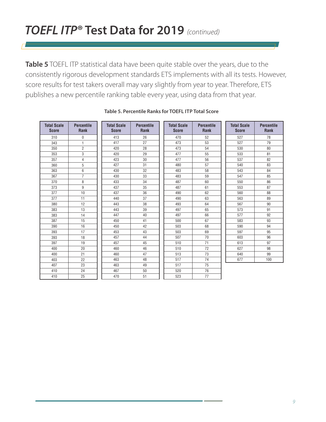**Table 5** TOEFL ITP statistical data have been quite stable over the years, due to the consistently rigorous development standards ETS implements with all its tests. However, score results for test takers overall may vary slightly from year to year. Therefore, ETS publishes a new percentile ranking table every year, using data from that year.

| <b>Total Scale</b><br><b>Score</b> | <b>Percentile</b><br><b>Rank</b> | <b>Total Scale</b><br><b>Score</b> | <b>Percentile</b><br><b>Rank</b> | <b>Total Scale</b><br><b>Score</b> | <b>Percentile</b><br><b>Rank</b> | <b>Total Scale</b><br><b>Score</b> | <b>Percentile</b><br><b>Rank</b> |
|------------------------------------|----------------------------------|------------------------------------|----------------------------------|------------------------------------|----------------------------------|------------------------------------|----------------------------------|
| 310                                | 0                                | 413                                | 26                               | 470                                | 52                               | 527                                | 78                               |
| 343                                | 1                                | 417                                | 27                               | 473                                | 53                               | 527                                | 79                               |
| 350                                | $\overline{2}$                   | 420                                | 28                               | 473                                | 54                               | 530                                | 80                               |
| 353                                | 3                                | 420                                | 29                               | 477                                | 55                               | 533                                | 81                               |
| 357                                | 4                                | 423                                | 30                               | 477                                | 56                               | 537                                | 82                               |
| 360                                | 5                                | 427                                | 31                               | 480                                | 57                               | 540                                | 83                               |
| 363                                | 6                                | 430                                | 32                               | 483                                | 58                               | 543                                | 84                               |
| 367                                | $\overline{7}$                   | 430                                | 33                               | 483                                | 59                               | 547                                | 85                               |
| 370                                | 8                                | 433                                | 34                               | 487                                | 60                               | 550                                | 86                               |
| 373                                | 9                                | 437                                | 35                               | 487                                | 61                               | 553                                | 87                               |
| 377                                | 10                               | 437                                | 36                               | 490                                | 62                               | 560                                | 88                               |
| 377                                | 11                               | 440                                | 37                               | 490                                | 63                               | 563                                | 89                               |
| 380                                | 12                               | 443                                | 38                               | 493                                | 64                               | 567                                | 90                               |
| 383                                | 13                               | 443                                | 39                               | 497                                | 65                               | 573                                | 91                               |
| 383                                | 14                               | 447                                | 40                               | 497                                | 66                               | 577                                | 92                               |
| 387                                | 15                               | 450                                | 41                               | 500                                | 67                               | 583                                | 93                               |
| 390                                | 16                               | 450                                | 42                               | 503                                | 68                               | 590                                | 94                               |
| 393                                | 17                               | 453                                | 43                               | 503                                | 69                               | 597                                | 95                               |
| 393                                | 18                               | 457                                | 44                               | 507                                | 70                               | 603                                | 96                               |
| 397                                | 19                               | 457                                | 45                               | 510                                | 71                               | 613                                | 97                               |
| 400                                | 20                               | 460                                | 46                               | 510                                | 72                               | 627                                | 98                               |
| 400                                | 21                               | 460                                | 47                               | 513                                | 73                               | 640                                | 99                               |
| 403                                | 22                               | 463                                | 48                               | 517                                | 74                               | 677                                | 100                              |
| 407                                | 23                               | 463                                | 49                               | 517                                | 75                               |                                    |                                  |
| 410                                | 24                               | 467                                | 50                               | 520                                | 76                               |                                    |                                  |
| 410                                | 25                               | 470                                | 51                               | 523                                | 77                               |                                    |                                  |

#### **Table 5. Percentile Ranks for TOEFL ITP Total Score**